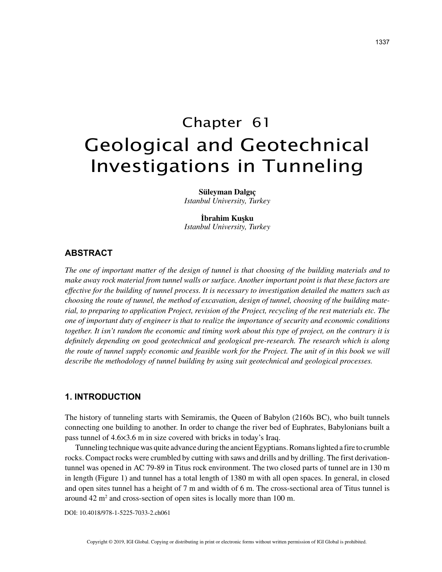# Chapter 61 Geological and Geotechnical Investigations in Tunneling

**Süleyman Dalgıç** *Istanbul University, Turkey*

**İbrahim Kuşku** *Istanbul University, Turkey*

## **ABSTRACT**

*The one of important matter of the design of tunnel is that choosing of the building materials and to make away rock material from tunnel walls or surface. Another important point is that these factors are effective for the building of tunnel process. It is necessary to investigation detailed the matters such as choosing the route of tunnel, the method of excavation, design of tunnel, choosing of the building material, to preparing to application Project, revision of the Project, recycling of the rest materials etc. The one of important duty of engineer is that to realize the importance of security and economic conditions together. It isn't random the economic and timing work about this type of project, on the contrary it is definitely depending on good geotechnical and geological pre-research. The research which is along the route of tunnel supply economic and feasible work for the Project. The unit of in this book we will describe the methodology of tunnel building by using suit geotechnical and geological processes.*

## **1. INTRODUCTION**

The history of tunneling starts with Semiramis, the Queen of Babylon (2160s BC), who built tunnels connecting one building to another. In order to change the river bed of Euphrates, Babylonians built a pass tunnel of 4.6×3.6 m in size covered with bricks in today's Iraq.

Tunneling technique was quite advance during the ancient Egyptians. Romans lighted a fire to crumble rocks. Compact rocks were crumbled by cutting with saws and drills and by drilling. The first derivationtunnel was opened in AC 79-89 in Titus rock environment. The two closed parts of tunnel are in 130 m in length (Figure 1) and tunnel has a total length of 1380 m with all open spaces. In general, in closed and open sites tunnel has a height of 7 m and width of 6 m. The cross-sectional area of Titus tunnel is around 42 m2 and cross-section of open sites is locally more than 100 m.

DOI: 10.4018/978-1-5225-7033-2.ch061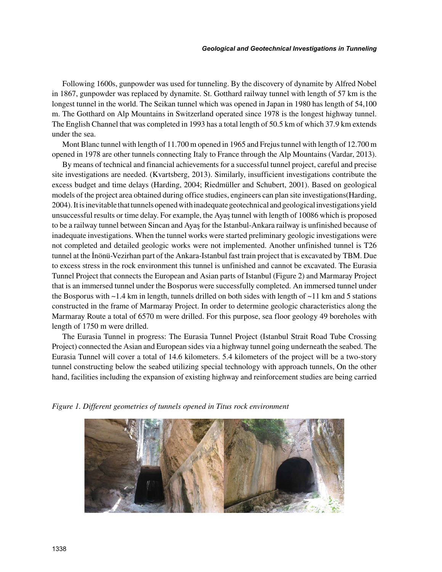Following 1600s, gunpowder was used for tunneling. By the discovery of dynamite by Alfred Nobel in 1867, gunpowder was replaced by dynamite. St. Gotthard railway tunnel with length of 57 km is the longest tunnel in the world. The Seikan tunnel which was opened in Japan in 1980 has length of 54,100 m. The Gotthard on Alp Mountains in Switzerland operated since 1978 is the longest highway tunnel. The English Channel that was completed in 1993 has a total length of 50.5 km of which 37.9 km extends under the sea.

Mont Blanc tunnel with length of 11.700 m opened in 1965 and Frejus tunnel with length of 12.700 m opened in 1978 are other tunnels connecting Italy to France through the Alp Mountains (Vardar, 2013).

By means of technical and financial achievements for a successful tunnel project, careful and precise site investigations are needed. (Kvartsberg, 2013). Similarly, insufficient investigations contribute the excess budget and time delays (Harding, 2004; Riedmüller and Schubert, 2001). Based on geological models of the project area obtained during office studies, engineers can plan site investigations(Harding, 2004). It is inevitable that tunnels opened with inadequate geotechnical and geological investigations yield unsuccessful results or time delay. For example, the Ayaş tunnel with length of 10086 which is proposed to be a railway tunnel between Sincan and Ayaş for the Istanbul-Ankara railway is unfinished because of inadequate investigations. When the tunnel works were started preliminary geologic investigations were not completed and detailed geologic works were not implemented. Another unfinished tunnel is T26 tunnel at the İnönü-Vezirhan part of the Ankara-Istanbul fast train project that is excavated by TBM. Due to excess stress in the rock environment this tunnel is unfinished and cannot be excavated. The Eurasia Tunnel Project that connects the European and Asian parts of Istanbul (Figure 2) and Marmaray Project that is an immersed tunnel under the Bosporus were successfully completed. An immersed tunnel under the Bosporus with  $\sim$  1.4 km in length, tunnels drilled on both sides with length of  $\sim$  11 km and 5 stations constructed in the frame of Marmaray Project. In order to determine geologic characteristics along the Marmaray Route a total of 6570 m were drilled. For this purpose, sea floor geology 49 boreholes with length of 1750 m were drilled.

The Eurasia Tunnel in progress: The Eurasia Tunnel Project (Istanbul Strait Road Tube Crossing Project) connected the Asian and European sides via a highway tunnel going underneath the seabed. The Eurasia Tunnel will cover a total of 14.6 kilometers. 5.4 kilometers of the project will be a two-story tunnel constructing below the seabed utilizing special technology with approach tunnels, On the other hand, facilities including the expansion of existing highway and reinforcement studies are being carried

*Figure 1. Different geometries of tunnels opened in Titus rock environment*